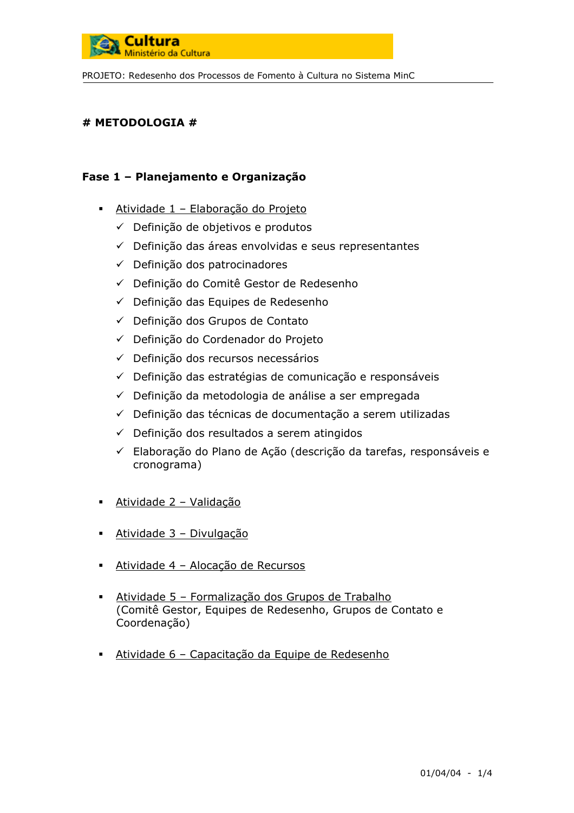

### # METODOLOGIA #

## Fase 1 - Planejamento e Organização

- Atividade 1 Elaboração do Projeto
	- ← Definição de objetivos e produtos
	- ← Definição das áreas envolvidas e seus representantes
	- ← Definicão dos patrocinadores
	- ← Definicão do Comitê Gestor de Redesenho
	- ← Definição das Equipes de Redesenho
	- ← Definição dos Grupos de Contato
	- ← Definição do Cordenador do Projeto
	- ← Definição dos recursos necessários
	- ← Definição das estratégias de comunicação e responsáveis
	- ← Definição da metodologia de análise a ser empregada
	- ← Definição das técnicas de documentação a serem utilizadas
	- ← Definição dos resultados a serem atingidos
	- ← Elaboração do Plano de Ação (descrição da tarefas, responsáveis e cronograma)
- Atividade 2 Validação
- Atividade 3 Divulgação
- Atividade 4 Alocação de Recursos
- Atividade 5 Formalização dos Grupos de Trabalho (Comitê Gestor, Equipes de Redesenho, Grupos de Contato e Coordenação)
- Atividade 6 Capacitação da Equipe de Redesenho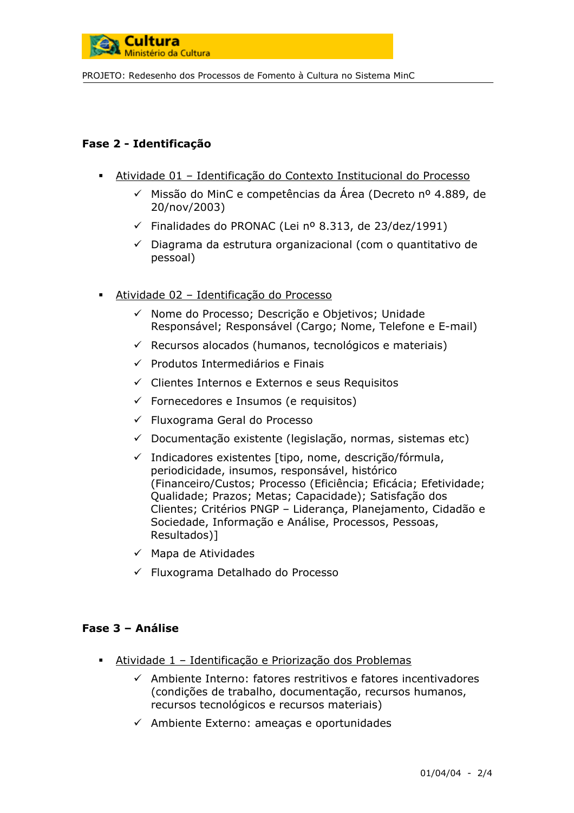

# Fase 2 - Identificação

- Atividade 01 Identificação do Contexto Institucional do Processo
	- √ Missão do MinC e competências da Área (Decreto nº 4.889, de 20/nov/2003)
	- ← Finalidades do PRONAC (Lei nº 8.313, de 23/dez/1991)
	- ← Diagrama da estrutura organizacional (com o quantitativo de pessoal)
- Atividade 02 Identificação do Processo
	- √ Nome do Processo; Descrição e Objetivos; Unidade Responsável; Responsável (Cargo; Nome, Telefone e E-mail)
	- $\checkmark$  Recursos alocados (humanos, tecnológicos e materiais)
	- ← Produtos Intermediários e Finais
	- ← Clientes Internos e Externos e seus Requisitos
	- $\checkmark$  Fornecedores e Insumos (e requisitos)
	- ← Fluxograma Geral do Processo
	- $\checkmark$  Documentação existente (legislação, normas, sistemas etc)
	- √ Indicadores existentes [tipo, nome, descricão/fórmula, periodicidade, insumos, responsável, histórico (Financeiro/Custos; Processo (Eficiência; Eficácia; Efetividade; Qualidade; Prazos; Metas; Capacidade); Satisfação dos Clientes; Critérios PNGP - Liderança, Planejamento, Cidadão e Sociedade, Informação e Análise, Processos, Pessoas, Resultados)1
	- $\checkmark$  Mapa de Atividades
	- ← Fluxograma Detalhado do Processo

## Fase 3 - Análise

- Atividade 1 Identificação e Priorização dos Problemas
	- ← Ambiente Interno: fatores restritivos e fatores incentivadores (condições de trabalho, documentação, recursos humanos, recursos tecnológicos e recursos materiais)
	- $\checkmark$  Ambiente Externo: ameaças e oportunidades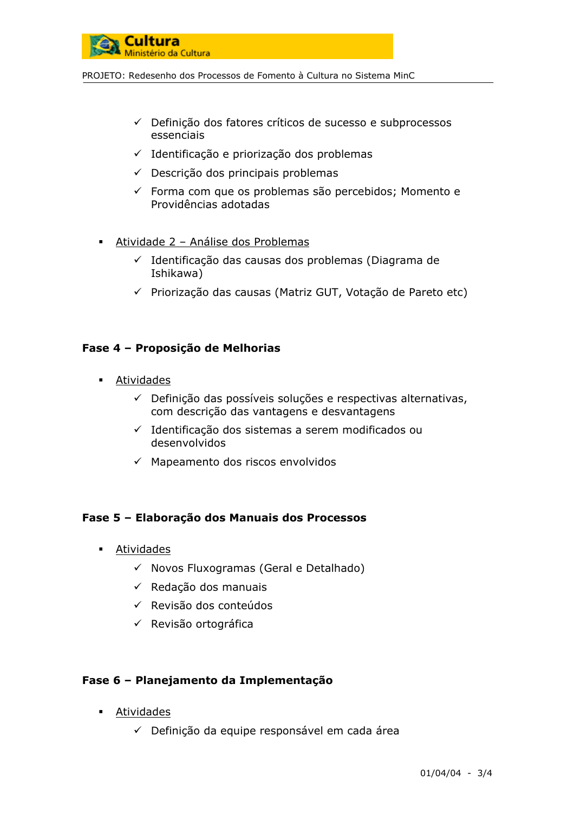

- ← Definição dos fatores críticos de sucesso e subprocessos essenciais
- ← Identificação e priorização dos problemas
- ← Descrição dos principais problemas
- ← Forma com que os problemas são percebidos; Momento e Providências adotadas
- Atividade 2 Análise dos Problemas
	- √ Identificação das causas dos problemas (Diagrama de Ishikawa)
	- √ Priorização das causas (Matriz GUT, Votação de Pareto etc)

#### Fase 4 - Proposição de Melhorias

- Atividades
	- $\checkmark$  Definição das possíveis soluções e respectivas alternativas, com descrição das vantagens e desvantagens
	- √ Identificação dos sistemas a serem modificados ou desenvolvidos
	- $\checkmark$  Mapeamento dos riscos envolvidos

## Fase 5 - Elaboração dos Manuais dos Processos

- $\blacksquare$ Atividades
	- ← Novos Fluxogramas (Geral e Detalhado)
	- $\checkmark$  Redação dos manuais
	- ← Revisão dos conteúdos
	- ← Revisão ortográfica

#### Fase 6 - Planejamento da Implementação

- Atividades
	- ← Definição da equipe responsável em cada área